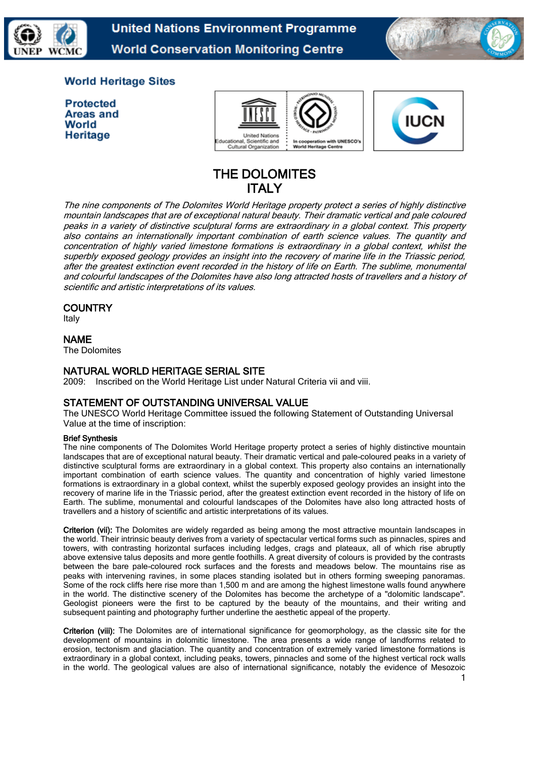

**United Nations Environment Programme World Conservation Monitoring Centre** 



# **World Heritage Sites**

| <b>Protected</b> |
|------------------|
| Areas and        |
| World            |
| Heritage         |





# THE DOLOMITES **ITALY**

The nine components of The Dolomites World Heritage property protect a series of highly distinctive mountain landscapes that are of exceptional natural beauty. Their dramatic vertical and pale coloured peaks in a variety of distinctive sculptural forms are extraordinary in a global context. This property also contains an internationally important combination of earth science values. The quantity and concentration of highly varied limestone formations is extraordinary in a global context, whilst the superbly exposed geology provides an insight into the recovery of marine life in the Triassic period, after the greatest extinction event recorded in the history of life on Earth. The sublime, monumental and colourful landscapes of the Dolomites have also long attracted hosts of travellers and a history of scientific and artistic interpretations of its values.

# **COUNTRY**

Italy

## NAME

The Dolomites

## NATURAL WORLD HERITAGE SERIAL SITE

2009: Inscribed on the World Heritage List under Natural Criteria vii and viii.

# STATEMENT OF OUTSTANDING UNIVERSAL VALUE

The UNESCO World Heritage Committee issued the following Statement of Outstanding Universal Value at the time of inscription:

#### Brief Synthesis

The nine components of The Dolomites World Heritage property protect a series of highly distinctive mountain landscapes that are of exceptional natural beauty. Their dramatic vertical and pale-coloured peaks in a variety of distinctive sculptural forms are extraordinary in a global context. This property also contains an internationally important combination of earth science values. The quantity and concentration of highly varied limestone formations is extraordinary in a global context, whilst the superbly exposed geology provides an insight into the recovery of marine life in the Triassic period, after the greatest extinction event recorded in the history of life on Earth. The sublime, monumental and colourful landscapes of the Dolomites have also long attracted hosts of travellers and a history of scientific and artistic interpretations of its values.

Criterion (vii): The Dolomites are widely regarded as being among the most attractive mountain landscapes in the world. Their intrinsic beauty derives from a variety of spectacular vertical forms such as pinnacles, spires and towers, with contrasting horizontal surfaces including ledges, crags and plateaux, all of which rise abruptly above extensive talus deposits and more gentle foothills. A great diversity of colours is provided by the contrasts between the bare pale-coloured rock surfaces and the forests and meadows below. The mountains rise as peaks with intervening ravines, in some places standing isolated but in others forming sweeping panoramas. Some of the rock cliffs here rise more than 1,500 m and are among the highest limestone walls found anywhere in the world. The distinctive scenery of the Dolomites has become the archetype of a "dolomitic landscape". Geologist pioneers were the first to be captured by the beauty of the mountains, and their writing and subsequent painting and photography further underline the aesthetic appeal of the property.

Criterion (viii): The Dolomites are of international significance for geomorphology, as the classic site for the development of mountains in dolomitic limestone. The area presents a wide range of landforms related to erosion, tectonism and glaciation. The quantity and concentration of extremely varied limestone formations is extraordinary in a global context, including peaks, towers, pinnacles and some of the highest vertical rock walls in the world. The geological values are also of international significance, notably the evidence of Mesozoic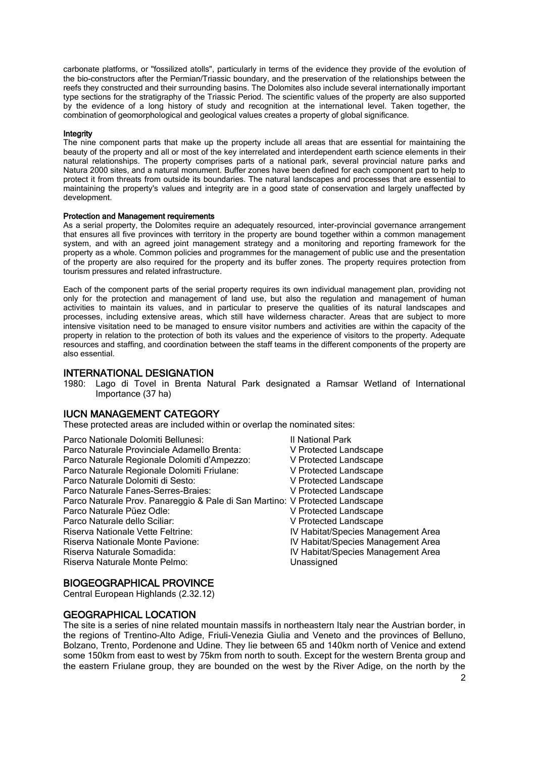carbonate platforms, or "fossilized atolls", particularly in terms of the evidence they provide of the evolution of the bio-constructors after the Permian/Triassic boundary, and the preservation of the relationships between the reefs they constructed and their surrounding basins. The Dolomites also include several internationally important type sections for the stratigraphy of the Triassic Period. The scientific values of the property are also supported by the evidence of a long history of study and recognition at the international level. Taken together, the combination of geomorphological and geological values creates a property of global significance.

#### Integrity

The nine component parts that make up the property include all areas that are essential for maintaining the beauty of the property and all or most of the key interrelated and interdependent earth science elements in their natural relationships. The property comprises parts of a national park, several provincial nature parks and Natura 2000 sites, and a natural monument. Buffer zones have been defined for each component part to help to protect it from threats from outside its boundaries. The natural landscapes and processes that are essential to maintaining the property's values and integrity are in a good state of conservation and largely unaffected by development.

#### Protection and Management requirements

As a serial property, the Dolomites require an adequately resourced, inter-provincial governance arrangement that ensures all five provinces with territory in the property are bound together within a common management system, and with an agreed joint management strategy and a monitoring and reporting framework for the property as a whole. Common policies and programmes for the management of public use and the presentation of the property are also required for the property and its buffer zones. The property requires protection from tourism pressures and related infrastructure.

Each of the component parts of the serial property requires its own individual management plan, providing not only for the protection and management of land use, but also the regulation and management of human activities to maintain its values, and in particular to preserve the qualities of its natural landscapes and processes, including extensive areas, which still have wilderness character. Areas that are subject to more intensive visitation need to be managed to ensure visitor numbers and activities are within the capacity of the property in relation to the protection of both its values and the experience of visitors to the property. Adequate resources and staffing, and coordination between the staff teams in the different components of the property are also essential.

### INTERNATIONAL DESIGNATION

1980: Lago di Tovel in Brenta Natural Park designated a Ramsar Wetland of International Importance (37 ha)

#### IUCN MANAGEMENT CATEGORY

These protected areas are included within or overlap the nominated sites:

| Parco Nationale Dolomiti Bellunesi:                                          | <b>II National Park</b>            |
|------------------------------------------------------------------------------|------------------------------------|
| Parco Naturale Provinciale Adamello Brenta:                                  | V Protected Landscape              |
| Parco Naturale Regionale Dolomiti d'Ampezzo:                                 | V Protected Landscape              |
| Parco Naturale Regionale Dolomiti Friulane:                                  | V Protected Landscape              |
| Parco Naturale Dolomiti di Sesto:                                            | V Protected Landscape              |
| Parco Naturale Fanes-Serres-Braies:                                          | V Protected Landscape              |
| Parco Naturale Prov. Panareggio & Pale di San Martino: V Protected Landscape |                                    |
| Parco Naturale Püez Odle:                                                    | V Protected Landscape              |
| Parco Naturale dello Sciliar:                                                | V Protected Landscape              |
| Riserva Nationale Vette Feltrine:                                            | IV Habitat/Species Management Area |
| Riserva Nationale Monte Pavione:                                             | IV Habitat/Species Management Area |
| Riserva Naturale Somadida:                                                   | IV Habitat/Species Management Area |
| Riserva Naturale Monte Pelmo:                                                | Unassigned                         |
|                                                                              |                                    |

#### BIOGEOGRAPHICAL PROVINCE

Central European Highlands (2.32.12)

#### GEOGRAPHICAL LOCATION

The site is a series of nine related mountain massifs in northeastern Italy near the Austrian border, in the regions of Trentino-Alto Adige, Friuli-Venezia Giulia and Veneto and the provinces of Belluno, Bolzano, Trento, Pordenone and Udine. They lie between 65 and 140km north of Venice and extend some 150km from east to west by 75km from north to south. Except for the western Brenta group and the eastern Friulane group, they are bounded on the west by the River Adige, on the north by the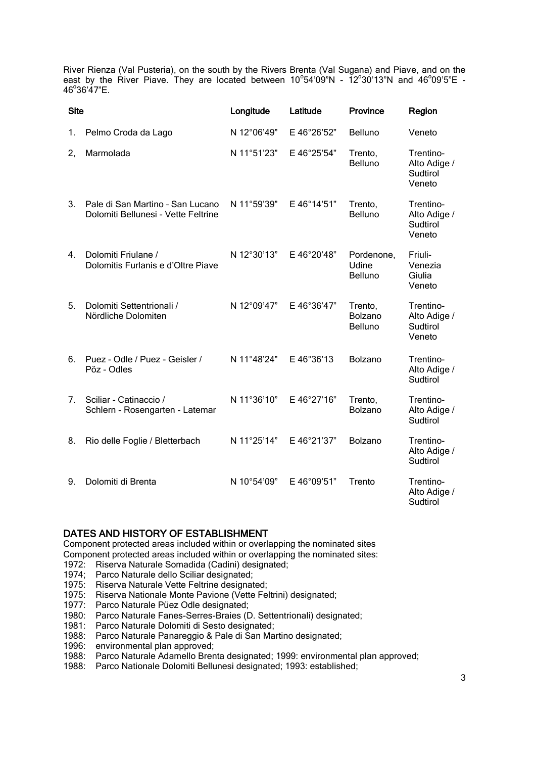River Rienza (Val Pusteria), on the south by the Rivers Brenta (Val Sugana) and Piave, and on the east by the River Piave. They are located between  $10^{\circ}54'09''N$  -  $12^{\circ}30'13''N$  and  $46^{\circ}09'5''E$  -46°36'47"E.

| <b>Site</b> |                                                                         | Longitude   | Latitude    | <b>Province</b>                | Region                                          |
|-------------|-------------------------------------------------------------------------|-------------|-------------|--------------------------------|-------------------------------------------------|
| 1.          | Pelmo Croda da Lago                                                     | N 12°06'49" | E 46°26'52" | Belluno                        | Veneto                                          |
| 2,          | Marmolada                                                               | N 11°51'23" | E 46°25'54" | Trento,<br>Belluno             | Trentino-<br>Alto Adige /<br>Sudtirol<br>Veneto |
| 3.          | Pale di San Martino - San Lucano<br>Dolomiti Bellunesi - Vette Feltrine | N 11°59'39" | E 46°14'51" | Trento,<br><b>Belluno</b>      | Trentino-<br>Alto Adige /<br>Sudtirol<br>Veneto |
| $4_{-}$     | Dolomiti Friulane /<br>Dolomitis Furlanis e d'Oltre Piave               | N 12°30'13" | E 46°20'48" | Pordenone,<br>Udine<br>Belluno | Friuli-<br>Venezia<br>Giulia<br>Veneto          |
| 5.          | Dolomiti Settentrionali /<br>Nördliche Dolomiten                        | N 12°09'47" | E 46°36'47" | Trento,<br>Bolzano<br>Belluno  | Trentino-<br>Alto Adige /<br>Sudtirol<br>Veneto |
| 6.          | Puez - Odle / Puez - Geisler /<br>Pöz - Odles                           | N 11°48'24" | E 46°36'13  | Bolzano                        | Trentino-<br>Alto Adige /<br>Sudtirol           |
| 7.          | Sciliar - Catinaccio /<br>Schlern - Rosengarten - Latemar               | N 11°36'10" | E 46°27'16" | Trento,<br>Bolzano             | Trentino-<br>Alto Adige /<br>Sudtirol           |
| 8.          | Rio delle Foglie / Bletterbach                                          | N 11°25'14" | E 46°21'37" | <b>Bolzano</b>                 | Trentino-<br>Alto Adige /<br>Sudtirol           |
| 9.          | Dolomiti di Brenta                                                      | N 10°54'09" | E 46°09'51" | Trento                         | Trentino-<br>Alto Adige /<br>Sudtirol           |

### DATES AND HISTORY OF ESTABLISHMENT

Component protected areas included within or overlapping the nominated sites Component protected areas included within or overlapping the nominated sites: 1972: Riserva Naturale Somadida (Cadini) designated;

- 1974; Parco Naturale dello Sciliar designated;
- 1975: Riserva Naturale Vette Feltrine designated;
- 1975: Riserva Nationale Monte Pavione (Vette Feltrini) designated;
- 1977: Parco Naturale Püez Odle designated;
- 1980: Parco Naturale Fanes-Serres-Braies (D. Settentrionali) designated;
- 1981: Parco Naturale Dolomiti di Sesto designated;
- 1988: Parco Naturale Panareggio & Pale di San Martino designated;
- 1996: environmental plan approved;
- 1988: Parco Naturale Adamello Brenta designated; 1999: environmental plan approved;
- 1988: Parco Nationale Dolomiti Bellunesi designated; 1993: established;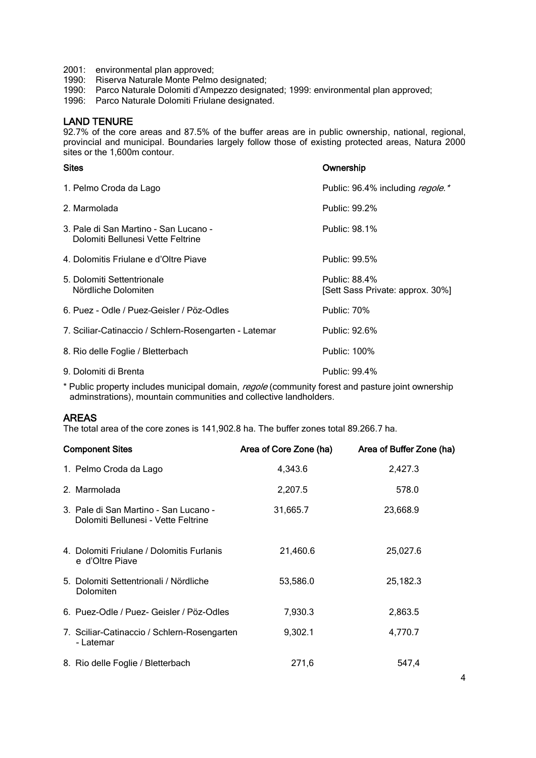- 2001: environmental plan approved;
- 1990: Riserva Naturale Monte Pelmo designated;
- 1990: Parco Naturale Dolomiti d'Ampezzo designated; 1999: environmental plan approved;
- 1996: Parco Naturale Dolomiti Friulane designated.

### LAND TENURE

92.7% of the core areas and 87.5% of the buffer areas are in public ownership, national, regional, provincial and municipal. Boundaries largely follow those of existing protected areas, Natura 2000 sites or the 1,600m contour.

| <b>Sites</b>                                                               | Ownership                                         |
|----------------------------------------------------------------------------|---------------------------------------------------|
| 1. Pelmo Croda da Lago                                                     | Public: 96.4% including regole.*                  |
| 2. Marmolada                                                               | Public: 99.2%                                     |
| 3. Pale di San Martino - San Lucano -<br>Dolomiti Bellunesi Vette Feltrine | Public: 98.1%                                     |
| 4. Dolomitis Friulane e d'Oltre Piave                                      | Public: 99.5%                                     |
| 5. Dolomiti Settentrionale<br>Nördliche Dolomiten                          | Public: 88.4%<br>[Sett Sass Private: approx. 30%] |
| 6. Puez - Odle / Puez-Geisler / Pöz-Odles                                  | <b>Public: 70%</b>                                |
| 7. Sciliar-Catinaccio / Schlern-Rosengarten - Latemar                      | Public: 92.6%                                     |
| 8. Rio delle Foglie / Bletterbach                                          | Public: 100%                                      |
| 9. Dolomiti di Brenta                                                      | Public: 99.4%                                     |

\* Public property includes municipal domain, regole (community forest and pasture joint ownership adminstrations), mountain communities and collective landholders.

# AREAS

The total area of the core zones is 141,902.8 ha. The buffer zones total 89.266.7 ha.

| <b>Component Sites</b>                                                       | Area of Core Zone (ha) | Area of Buffer Zone (ha) |
|------------------------------------------------------------------------------|------------------------|--------------------------|
| 1. Pelmo Croda da Lago                                                       | 4,343.6                | 2,427.3                  |
| 2. Marmolada                                                                 | 2,207.5                | 578.0                    |
| 3. Pale di San Martino - San Lucano -<br>Dolomiti Bellunesi - Vette Feltrine | 31,665.7               | 23,668.9                 |
| 4. Dolomiti Friulane / Dolomitis Furlanis<br>e d'Oltre Piave                 | 21,460.6               | 25,027.6                 |
| 5. Dolomiti Settentrionali / Nördliche<br>Dolomiten                          | 53,586.0               | 25,182.3                 |
| 6. Puez-Odle / Puez- Geisler / Pöz-Odles                                     | 7,930.3                | 2,863.5                  |
| 7. Sciliar-Catinaccio / Schlern-Rosengarten<br>- Latemar                     | 9,302.1                | 4,770.7                  |
| 8. Rio delle Foglie / Bletterbach                                            | 271,6                  | 547,4                    |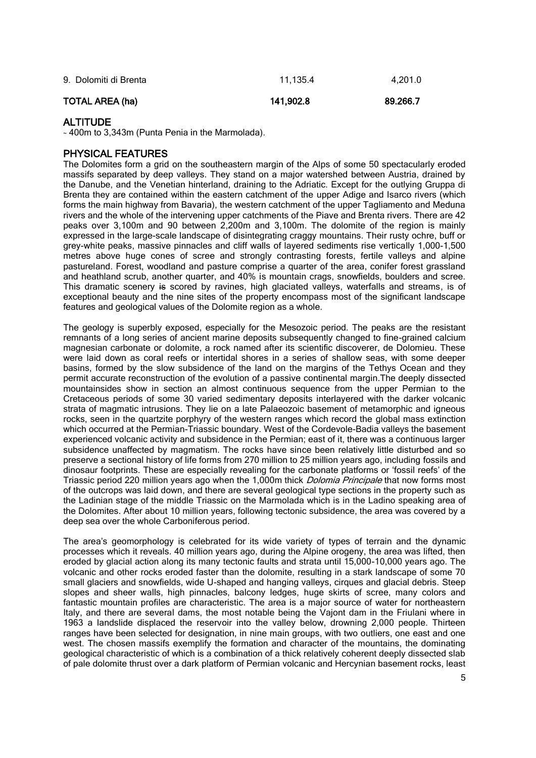| TOTAL AREA (ha)       | 141.902.8 | 89.266.7 |
|-----------------------|-----------|----------|
| 9. Dolomiti di Brenta | 11.135.4  | 4.201.0  |

# **ALTITUDE**

<sup>~</sup> 400m to 3,343m (Punta Penia in the Marmolada).

## PHYSICAL FEATURES

The Dolomites form a grid on the southeastern margin of the Alps of some 50 spectacularly eroded massifs separated by deep valleys. They stand on a major watershed between Austria, drained by the Danube, and the Venetian hinterland, draining to the Adriatic. Except for the outlying Gruppa di Brenta they are contained within the eastern catchment of the upper Adige and Isarco rivers (which forms the main highway from Bavaria), the western catchment of the upper Tagliamento and Meduna rivers and the whole of the intervening upper catchments of the Piave and Brenta rivers. There are 42 peaks over 3,100m and 90 between 2,200m and 3,100m. The dolomite of the region is mainly expressed in the large-scale landscape of disintegrating craggy mountains. Their rusty ochre, buff or grey-white peaks, massive pinnacles and cliff walls of layered sediments rise vertically 1,000-1,500 metres above huge cones of scree and strongly contrasting forests, fertile valleys and alpine pastureland. Forest, woodland and pasture comprise a quarter of the area, conifer forest grassland and heathland scrub, another quarter, and 40% is mountain crags, snowfields, boulders and scree. This dramatic scenery is scored by ravines, high glaciated valleys, waterfalls and streams, is of exceptional beauty and the nine sites of the property encompass most of the significant landscape features and geological values of the Dolomite region as a whole.

The geology is superbly exposed, especially for the Mesozoic period. The peaks are the resistant remnants of a long series of ancient marine deposits subsequently changed to fine-grained calcium magnesian carbonate or dolomite, a rock named after its scientific discoverer, de Dolomieu. These were laid down as coral reefs or intertidal shores in a series of shallow seas, with some deeper basins, formed by the slow subsidence of the land on the margins of the Tethys Ocean and they permit accurate reconstruction of the evolution of a passive continental margin.The deeply dissected mountainsides show in section an almost continuous sequence from the upper Permian to the Cretaceous periods of some 30 varied sedimentary deposits interlayered with the darker volcanic strata of magmatic intrusions. They lie on a late Palaeozoic basement of metamorphic and igneous rocks, seen in the quartzite porphyry of the western ranges which record the global mass extinction which occurred at the Permian-Triassic boundary. West of the Cordevole-Badia valleys the basement experienced volcanic activity and subsidence in the Permian; east of it, there was a continuous larger subsidence unaffected by magmatism. The rocks have since been relatively little disturbed and so preserve a sectional history of life forms from 270 million to 25 million years ago, including fossils and dinosaur footprints. These are especially revealing for the carbonate platforms or 'fossil reefs' of the Triassic period 220 million years ago when the 1,000m thick *Dolomia Principale* that now forms most of the outcrops was laid down, and there are several geological type sections in the property such as the Ladinian stage of the middle Triassic on the Marmolada which is in the Ladino speaking area of the Dolomites. After about 10 million years, following tectonic subsidence, the area was covered by a deep sea over the whole Carboniferous period.

The area's geomorphology is celebrated for its wide variety of types of terrain and the dynamic processes which it reveals. 40 million years ago, during the Alpine orogeny, the area was lifted, then eroded by glacial action along its many tectonic faults and strata until 15,000-10,000 years ago. The volcanic and other rocks eroded faster than the dolomite, resulting in a stark landscape of some 70 small glaciers and snowfields, wide U-shaped and hanging valleys, cirques and glacial debris. Steep slopes and sheer walls, high pinnacles, balcony ledges, huge skirts of scree, many colors and fantastic mountain profiles are characteristic. The area is a major source of water for northeastern Italy, and there are several dams, the most notable being the Vajont dam in the Friulani where in 1963 a landslide displaced the reservoir into the valley below, drowning 2,000 people. Thirteen ranges have been selected for designation, in nine main groups, with two outliers, one east and one west. The chosen massifs exemplify the formation and character of the mountains, the dominating geological characteristic of which is a combination of a thick relatively coherent deeply dissected slab of pale dolomite thrust over a dark platform of Permian volcanic and Hercynian basement rocks, least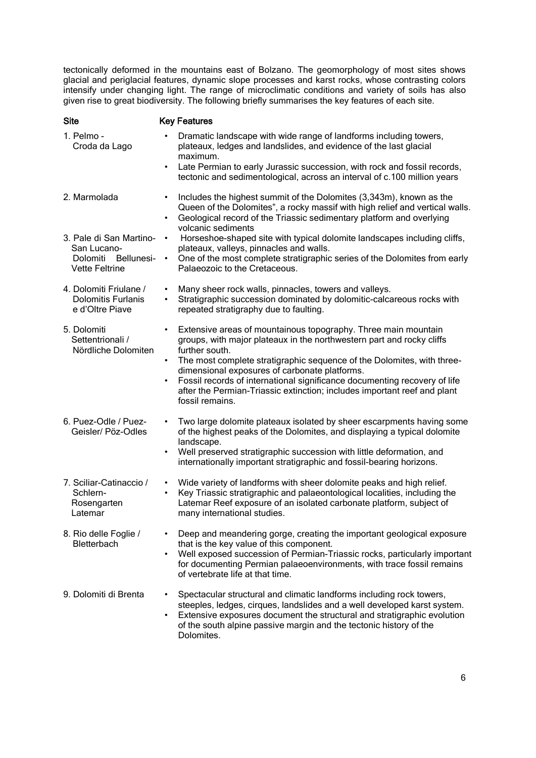tectonically deformed in the mountains east of Bolzano. The geomorphology of most sites shows glacial and periglacial features, dynamic slope processes and karst rocks, whose contrasting colors intensify under changing light. The range of microclimatic conditions and variety of soils has also given rise to great biodiversity. The following briefly summarises the key features of each site.

| <b>Site</b>                                                            | <b>Key Features</b>                                                                                                                                                                                                                                                                                                                                                                                                                                                           |
|------------------------------------------------------------------------|-------------------------------------------------------------------------------------------------------------------------------------------------------------------------------------------------------------------------------------------------------------------------------------------------------------------------------------------------------------------------------------------------------------------------------------------------------------------------------|
| 1. Pelmo -<br>Croda da Lago                                            | Dramatic landscape with wide range of landforms including towers,<br>plateaux, ledges and landslides, and evidence of the last glacial<br>maximum.<br>Late Permian to early Jurassic succession, with rock and fossil records,<br>$\bullet$<br>tectonic and sedimentological, across an interval of c.100 million years                                                                                                                                                       |
| 2. Marmolada<br>3. Pale di San Martino-<br>San Lucano-                 | Includes the highest summit of the Dolomites (3,343m), known as the<br>Queen of the Dolomites", a rocky massif with high relief and vertical walls.<br>Geological record of the Triassic sedimentary platform and overlying<br>$\bullet$<br>volcanic sediments<br>Horseshoe-shaped site with typical dolomite landscapes including cliffs,<br>$\bullet$<br>plateaux, valleys, pinnacles and walls.                                                                            |
| Dolomiti<br>Bellunesi-<br><b>Vette Feltrine</b>                        | One of the most complete stratigraphic series of the Dolomites from early<br>$\bullet$<br>Palaeozoic to the Cretaceous.                                                                                                                                                                                                                                                                                                                                                       |
| 4. Dolomiti Friulane /<br><b>Dolomitis Furlanis</b><br>e d'Oltre Piave | • Many sheer rock walls, pinnacles, towers and valleys.<br>• Stratigraphic succession dominated by dolomitic-calcareous rocks with<br>repeated stratigraphy due to faulting.                                                                                                                                                                                                                                                                                                  |
| 5. Dolomiti<br>Settentrionali /<br>Nördliche Dolomiten                 | Extensive areas of mountainous topography. Three main mountain<br>groups, with major plateaux in the northwestern part and rocky cliffs<br>further south.<br>The most complete stratigraphic sequence of the Dolomites, with three-<br>dimensional exposures of carbonate platforms.<br>Fossil records of international significance documenting recovery of life<br>$\bullet$<br>after the Permian-Triassic extinction; includes important reef and plant<br>fossil remains. |
| 6. Puez-Odle / Puez-<br>Geisler/ Pöz-Odles                             | Two large dolomite plateaux isolated by sheer escarpments having some<br>$\bullet$<br>of the highest peaks of the Dolomites, and displaying a typical dolomite<br>landscape.<br>Well preserved stratigraphic succession with little deformation, and<br>internationally important stratigraphic and fossil-bearing horizons.                                                                                                                                                  |
| 7. Sciliar-Catinaccio /<br>Schlern-<br>Rosengarten<br>Latemar          | Wide variety of landforms with sheer dolomite peaks and high relief.<br>$\bullet$<br>Key Triassic stratigraphic and palaeontological localities, including the<br>$\bullet$<br>Latemar Reef exposure of an isolated carbonate platform, subject of<br>many international studies.                                                                                                                                                                                             |
| 8. Rio delle Foglie /<br><b>Bletterbach</b>                            | Deep and meandering gorge, creating the important geological exposure<br>that is the key value of this component.<br>Well exposed succession of Permian-Triassic rocks, particularly important<br>for documenting Permian palaeoenvironments, with trace fossil remains<br>of vertebrate life at that time.                                                                                                                                                                   |
| 9. Dolomiti di Brenta                                                  | Spectacular structural and climatic landforms including rock towers,<br>steeples, ledges, cirques, landslides and a well developed karst system.<br>Extensive exposures document the structural and stratigraphic evolution<br>of the south alpine passive margin and the tectonic history of the<br>Dolomites.                                                                                                                                                               |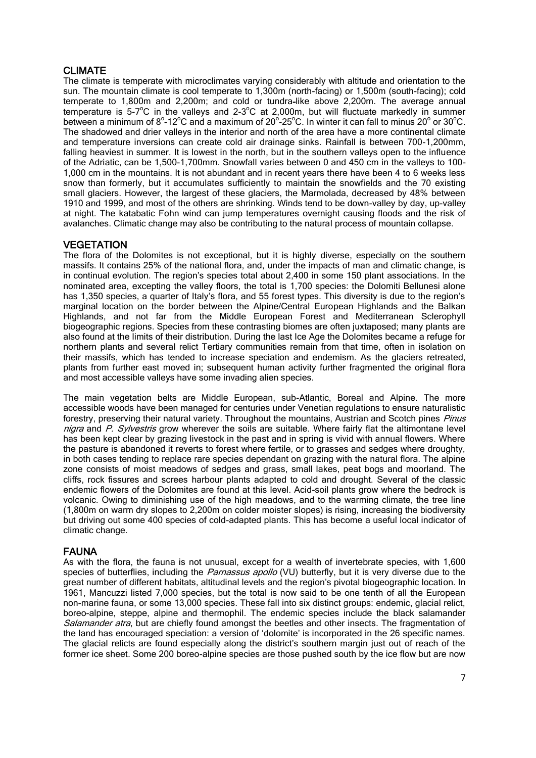# CLIMATE

The climate is temperate with microclimates varying considerably with altitude and orientation to the sun. The mountain climate is cool temperate to 1,300m (north-facing) or 1,500m (south-facing); cold temperate to 1,800m and 2,200m; and cold or tundra-like above 2,200m. The average annual temperature is 5-7°C in the valleys and 2-3°C at 2,000m, but will fluctuate markedly in summer between a minimum of  $8^{\circ}$ -12 $^{\circ}$ C and a maximum of 20 $^{\circ}$ -25 $^{\circ}$ C. In winter it can fall to minus 20 $^{\circ}$  or 30 $^{\circ}$ C. The shadowed and drier valleys in the interior and north of the area have a more continental climate and temperature inversions can create cold air drainage sinks. Rainfall is between 700-1,200mm, falling heaviest in summer. It is lowest in the north, but in the southern valleys open to the influence of the Adriatic, can be 1,500-1,700mm. Snowfall varies between 0 and 450 cm in the valleys to 100- 1,000 cm in the mountains. It is not abundant and in recent years there have been 4 to 6 weeks less snow than formerly, but it accumulates sufficiently to maintain the snowfields and the 70 existing small glaciers. However, the largest of these glaciers, the Marmolada, decreased by 48% between 1910 and 1999, and most of the others are shrinking. Winds tend to be down-valley by day, up-valley at night. The katabatic Fohn wind can jump temperatures overnight causing floods and the risk of avalanches. Climatic change may also be contributing to the natural process of mountain collapse.

# **VEGETATION**

The flora of the Dolomites is not exceptional, but it is highly diverse, especially on the southern massifs. It contains 25% of the national flora, and, under the impacts of man and climatic change, is in continual evolution. The region's species total about 2,400 in some 150 plant associations. In the nominated area, excepting the valley floors, the total is 1,700 species: the Dolomiti Bellunesi alone has 1,350 species, a quarter of Italy's flora, and 55 forest types. This diversity is due to the region's marginal location on the border between the Alpine/Central European Highlands and the Balkan Highlands, and not far from the Middle European Forest and Mediterranean Sclerophyll biogeographic regions. Species from these contrasting biomes are often juxtaposed; many plants are also found at the limits of their distribution. During the last Ice Age the Dolomites became a refuge for northern plants and several relict Tertiary communities remain from that time, often in isolation on their massifs, which has tended to increase speciation and endemism. As the glaciers retreated, plants from further east moved in; subsequent human activity further fragmented the original flora and most accessible valleys have some invading alien species.

The main vegetation belts are Middle European, sub-Atlantic, Boreal and Alpine. The more accessible woods have been managed for centuries under Venetian regulations to ensure naturalistic forestry, preserving their natural variety. Throughout the mountains, Austrian and Scotch pines Pinus nigra and P. Sylvestris grow wherever the soils are suitable. Where fairly flat the altimontane level has been kept clear by grazing livestock in the past and in spring is vivid with annual flowers. Where the pasture is abandoned it reverts to forest where fertile, or to grasses and sedges where droughty, in both cases tending to replace rare species dependant on grazing with the natural flora. The alpine zone consists of moist meadows of sedges and grass, small lakes, peat bogs and moorland. The cliffs, rock fissures and screes harbour plants adapted to cold and drought. Several of the classic endemic flowers of the Dolomites are found at this level. Acid-soil plants grow where the bedrock is volcanic. Owing to diminishing use of the high meadows, and to the warming climate, the tree line (1,800m on warm dry slopes to 2,200m on colder moister slopes) is rising, increasing the biodiversity but driving out some 400 species of cold-adapted plants. This has become a useful local indicator of climatic change.

### FAUNA

As with the flora, the fauna is not unusual, except for a wealth of invertebrate species, with 1,600 species of butterflies, including the Parnassus apollo (VU) butterfly, but it is very diverse due to the great number of different habitats, altitudinal levels and the region's pivotal biogeographic location. In 1961, Mancuzzi listed 7,000 species, but the total is now said to be one tenth of all the European non-marine fauna, or some 13,000 species. These fall into six distinct groups: endemic, glacial relict, boreo-alpine, steppe, alpine and thermophil. The endemic species include the black salamander Salamander atra, but are chiefly found amongst the beetles and other insects. The fragmentation of the land has encouraged speciation: a version of 'dolomite' is incorporated in the 26 specific names. The glacial relicts are found especially along the district's southern margin just out of reach of the former ice sheet. Some 200 boreo-alpine species are those pushed south by the ice flow but are now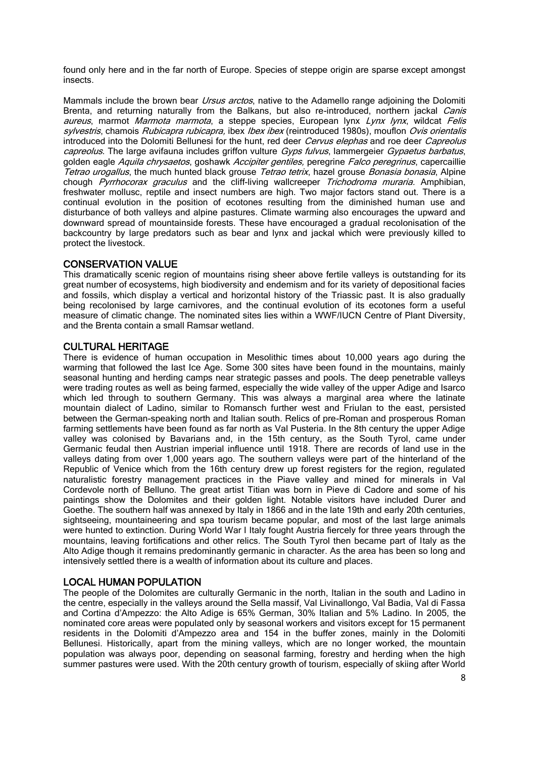found only here and in the far north of Europe. Species of steppe origin are sparse except amongst insects.

Mammals include the brown bear Ursus arctos, native to the Adamello range adjoining the Dolomiti Brenta, and returning naturally from the Balkans, but also re-introduced, northern jackal Canis aureus, marmot Marmota marmota, a steppe species, European lynx Lynx lynx, wildcat Felis sylvestris, chamois Rubicapra rubicapra, ibex Ibex ibex (reintroduced 1980s), mouflon Ovis orientalis introduced into the Dolomiti Bellunesi for the hunt, red deer Cervus elephas and roe deer Capreolus capreolus. The large avifauna includes griffon vulture Gyps fulvus, lammergeier Gypaetus barbatus, golden eagle Aquila chrysaetos, goshawk Accipiter gentiles, peregrine Falco peregrinus, capercaillie Tetrao urogallus, the much hunted black grouse Tetrao tetrix, hazel grouse Bonasia bonasia, Alpine chough Pyrrhocorax graculus and the cliff-living wallcreeper Trichodroma muraria. Amphibian, freshwater mollusc, reptile and insect numbers are high. Two major factors stand out. There is a continual evolution in the position of ecotones resulting from the diminished human use and disturbance of both valleys and alpine pastures. Climate warming also encourages the upward and downward spread of mountainside forests. These have encouraged a gradual recolonisation of the backcountry by large predators such as bear and lynx and jackal which were previously killed to protect the livestock.

### CONSERVATION VALUE

This dramatically scenic region of mountains rising sheer above fertile valleys is outstanding for its great number of ecosystems, high biodiversity and endemism and for its variety of depositional facies and fossils, which display a vertical and horizontal history of the Triassic past. It is also gradually being recolonised by large carnivores, and the continual evolution of its ecotones form a useful measure of climatic change. The nominated sites lies within a WWF/IUCN Centre of Plant Diversity, and the Brenta contain a small Ramsar wetland.

### CULTURAL HERITAGE

There is evidence of human occupation in Mesolithic times about 10,000 years ago during the warming that followed the last Ice Age. Some 300 sites have been found in the mountains, mainly seasonal hunting and herding camps near strategic passes and pools. The deep penetrable valleys were trading routes as well as being farmed, especially the wide valley of the upper Adige and Isarco which led through to southern Germany. This was always a marginal area where the latinate mountain dialect of Ladino, similar to Romansch further west and Friulan to the east, persisted between the German-speaking north and Italian south. Relics of pre-Roman and prosperous Roman farming settlements have been found as far north as Val Pusteria. In the 8th century the upper Adige valley was colonised by Bavarians and, in the 15th century, as the South Tyrol, came under Germanic feudal then Austrian imperial influence until 1918. There are records of land use in the valleys dating from over 1,000 years ago. The southern valleys were part of the hinterland of the Republic of Venice which from the 16th century drew up forest registers for the region, regulated naturalistic forestry management practices in the Piave valley and mined for minerals in Val Cordevole north of Belluno. The great artist Titian was born in Pieve di Cadore and some of his paintings show the Dolomites and their golden light. Notable visitors have included Durer and Goethe. The southern half was annexed by Italy in 1866 and in the late 19th and early 20th centuries, sightseeing, mountaineering and spa tourism became popular, and most of the last large animals were hunted to extinction. During World War I Italy fought Austria fiercely for three years through the mountains, leaving fortifications and other relics. The South Tyrol then became part of Italy as the Alto Adige though it remains predominantly germanic in character. As the area has been so long and intensively settled there is a wealth of information about its culture and places.

## LOCAL HUMAN POPULATION

The people of the Dolomites are culturally Germanic in the north, Italian in the south and Ladino in the centre, especially in the valleys around the Sella massif, Val Livinallongo, Val Badia, Val di Fassa and Cortina d'Ampezzo: the Alto Adige is 65% German, 30% Italian and 5% Ladino. In 2005, the nominated core areas were populated only by seasonal workers and visitors except for 15 permanent residents in the Dolomiti d'Ampezzo area and 154 in the buffer zones, mainly in the Dolomiti Bellunesi. Historically, apart from the mining valleys, which are no longer worked, the mountain population was always poor, depending on seasonal farming, forestry and herding when the high summer pastures were used. With the 20th century growth of tourism, especially of skiing after World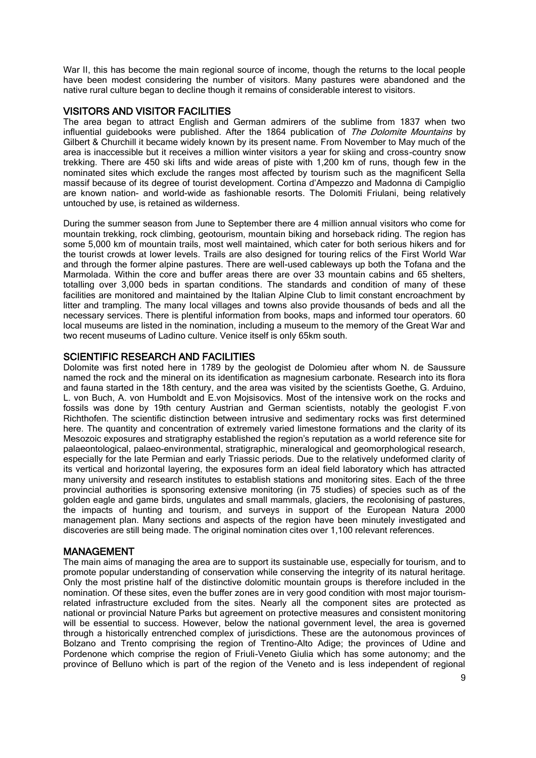War II, this has become the main regional source of income, though the returns to the local people have been modest considering the number of visitors. Many pastures were abandoned and the native rural culture began to decline though it remains of considerable interest to visitors.

## VISITORS AND VISITOR FACILITIES

The area began to attract English and German admirers of the sublime from 1837 when two influential guidebooks were published. After the 1864 publication of The Dolomite Mountains by Gilbert & Churchill it became widely known by its present name. From November to May much of the area is inaccessible but it receives a million winter visitors a year for skiing and cross-country snow trekking. There are 450 ski lifts and wide areas of piste with 1,200 km of runs, though few in the nominated sites which exclude the ranges most affected by tourism such as the magnificent Sella massif because of its degree of tourist development. Cortina d'Ampezzo and Madonna di Campiglio are known nation- and world-wide as fashionable resorts. The Dolomiti Friulani, being relatively untouched by use, is retained as wilderness.

During the summer season from June to September there are 4 million annual visitors who come for mountain trekking, rock climbing, geotourism, mountain biking and horseback riding. The region has some 5,000 km of mountain trails, most well maintained, which cater for both serious hikers and for the tourist crowds at lower levels. Trails are also designed for touring relics of the First World War and through the former alpine pastures. There are well-used cableways up both the Tofana and the Marmolada. Within the core and buffer areas there are over 33 mountain cabins and 65 shelters, totalling over 3,000 beds in spartan conditions. The standards and condition of many of these facilities are monitored and maintained by the Italian Alpine Club to limit constant encroachment by litter and trampling. The many local villages and towns also provide thousands of beds and all the necessary services. There is plentiful information from books, maps and informed tour operators. 60 local museums are listed in the nomination, including a museum to the memory of the Great War and two recent museums of Ladino culture. Venice itself is only 65km south.

## SCIENTIFIC RESEARCH AND FACILITIES

Dolomite was first noted here in 1789 by the geologist de Dolomieu after whom N. de Saussure named the rock and the mineral on its identification as magnesium carbonate. Research into its flora and fauna started in the 18th century, and the area was visited by the scientists Goethe, G. Arduino, L. von Buch, A. von Humboldt and E.von Mojsisovics. Most of the intensive work on the rocks and fossils was done by 19th century Austrian and German scientists, notably the geologist F.von Richthofen. The scientific distinction between intrusive and sedimentary rocks was first determined here. The quantity and concentration of extremely varied limestone formations and the clarity of its Mesozoic exposures and stratigraphy established the region's reputation as a world reference site for palaeontological, palaeo-environmental, stratigraphic, mineralogical and geomorphological research, especially for the late Permian and early Triassic periods. Due to the relatively undeformed clarity of its vertical and horizontal layering, the exposures form an ideal field laboratory which has attracted many university and research institutes to establish stations and monitoring sites. Each of the three provincial authorities is sponsoring extensive monitoring (in 75 studies) of species such as of the golden eagle and game birds, ungulates and small mammals, glaciers, the recolonising of pastures, the impacts of hunting and tourism, and surveys in support of the European Natura 2000 management plan. Many sections and aspects of the region have been minutely investigated and discoveries are still being made. The original nomination cites over 1,100 relevant references.

### MANAGEMENT

The main aims of managing the area are to support its sustainable use, especially for tourism, and to promote popular understanding of conservation while conserving the integrity of its natural heritage. Only the most pristine half of the distinctive dolomitic mountain groups is therefore included in the nomination. Of these sites, even the buffer zones are in very good condition with most major tourismrelated infrastructure excluded from the sites. Nearly all the component sites are protected as national or provincial Nature Parks but agreement on protective measures and consistent monitoring will be essential to success. However, below the national government level, the area is governed through a historically entrenched complex of jurisdictions. These are the autonomous provinces of Bolzano and Trento comprising the region of Trentino-Alto Adige; the provinces of Udine and Pordenone which comprise the region of Friuli-Veneto Giulia which has some autonomy; and the province of Belluno which is part of the region of the Veneto and is less independent of regional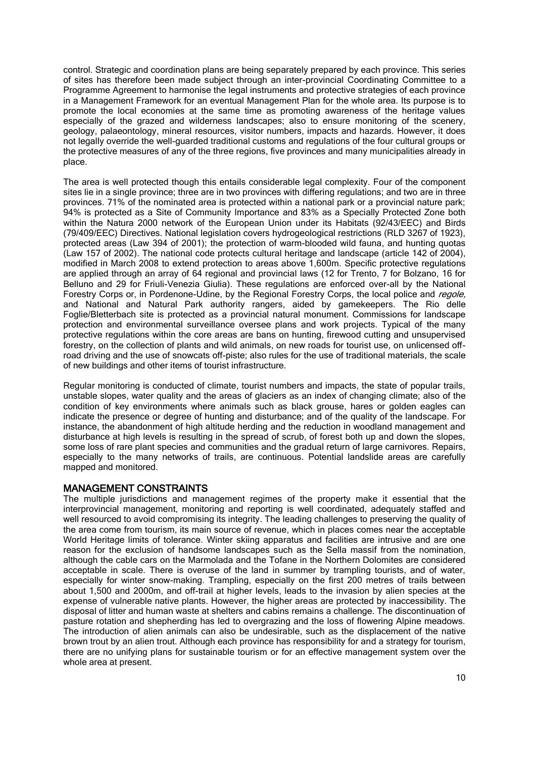control. Strategic and coordination plans are being separately prepared by each province. This series of sites has therefore been made subject through an inter-provincial Coordinating Committee to a Programme Agreement to harmonise the legal instruments and protective strategies of each province in a Management Framework for an eventual Management Plan for the whole area. Its purpose is to promote the local economies at the same time as promoting awareness of the heritage values especially of the grazed and wilderness landscapes; also to ensure monitoring of the scenery, geology, palaeontology, mineral resources, visitor numbers, impacts and hazards. However, it does not legally override the well-guarded traditional customs and regulations of the four cultural groups or the protective measures of any of the three regions, five provinces and many municipalities already in place.

The area is well protected though this entails considerable legal complexity. Four of the component sites lie in a single province; three are in two provinces with differing regulations; and two are in three provinces. 71% of the nominated area is protected within a national park or a provincial nature park; 94% is protected as a Site of Community Importance and 83% as a Specially Protected Zone both within the Natura 2000 network of the European Union under its Habitats (92/43/EEC) and Birds (79/409/EEC) Directives. National legislation covers hydrogeological restrictions (RLD 3267 of 1923), protected areas (Law 394 of 2001); the protection of warm-blooded wild fauna, and hunting quotas (Law 157 of 2002). The national code protects cultural heritage and landscape (article 142 of 2004), modified in March 2008 to extend protection to areas above 1,600m. Specific protective regulations are applied through an array of 64 regional and provincial laws (12 for Trento, 7 for Bolzano, 16 for Belluno and 29 for Friuli-Venezia Giulia). These regulations are enforced over-all by the National Forestry Corps or, in Pordenone-Udine, by the Regional Forestry Corps, the local police and *regole*, and National and Natural Park authority rangers, aided by gamekeepers. The Rio delle Foglie/Bletterbach site is protected as a provincial natural monument. Commissions for landscape protection and environmental surveillance oversee plans and work projects. Typical of the many protective regulations within the core areas are bans on hunting, firewood cutting and unsupervised forestry, on the collection of plants and wild animals, on new roads for tourist use, on unlicensed offroad driving and the use of snowcats off-piste; also rules for the use of traditional materials, the scale of new buildings and other items of tourist infrastructure.

Regular monitoring is conducted of climate, tourist numbers and impacts, the state of popular trails, unstable slopes, water quality and the areas of glaciers as an index of changing climate; also of the condition of key environments where animals such as black grouse, hares or golden eagles can indicate the presence or degree of hunting and disturbance; and of the quality of the landscape. For instance, the abandonment of high altitude herding and the reduction in woodland management and disturbance at high levels is resulting in the spread of scrub, of forest both up and down the slopes, some loss of rare plant species and communities and the gradual return of large carnivores. Repairs, especially to the many networks of trails, are continuous. Potential landslide areas are carefully mapped and monitored.

# MANAGEMENT CONSTRAINTS

The multiple jurisdictions and management regimes of the property make it essential that the interprovincial management, monitoring and reporting is well coordinated, adequately staffed and well resourced to avoid compromising its integrity. The leading challenges to preserving the quality of the area come from tourism, its main source of revenue, which in places comes near the acceptable World Heritage limits of tolerance. Winter skiing apparatus and facilities are intrusive and are one reason for the exclusion of handsome landscapes such as the Sella massif from the nomination, although the cable cars on the Marmolada and the Tofane in the Northern Dolomites are considered acceptable in scale. There is overuse of the land in summer by trampling tourists, and of water, especially for winter snow-making. Trampling, especially on the first 200 metres of trails between about 1,500 and 2000m, and off-trail at higher levels, leads to the invasion by alien species at the expense of vulnerable native plants. However, the higher areas are protected by inaccessibility. The disposal of litter and human waste at shelters and cabins remains a challenge. The discontinuation of pasture rotation and shepherding has led to overgrazing and the loss of flowering Alpine meadows. The introduction of alien animals can also be undesirable, such as the displacement of the native brown trout by an alien trout. Although each province has responsibility for and a strategy for tourism, there are no unifying plans for sustainable tourism or for an effective management system over the whole area at present.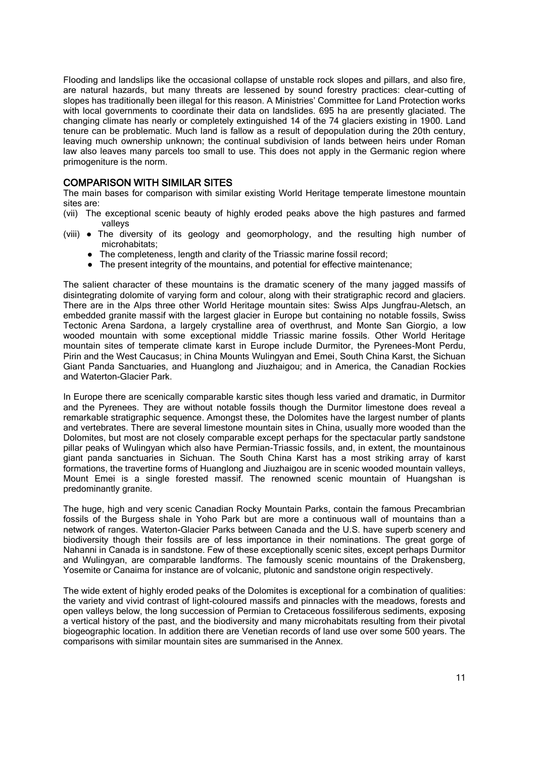Flooding and landslips like the occasional collapse of unstable rock slopes and pillars, and also fire, are natural hazards, but many threats are lessened by sound forestry practices: clear-cutting of slopes has traditionally been illegal for this reason. A Ministries' Committee for Land Protection works with local governments to coordinate their data on landslides. 695 ha are presently glaciated. The changing climate has nearly or completely extinguished 14 of the 74 glaciers existing in 1900. Land tenure can be problematic. Much land is fallow as a result of depopulation during the 20th century, leaving much ownership unknown; the continual subdivision of lands between heirs under Roman law also leaves many parcels too small to use. This does not apply in the Germanic region where primogeniture is the norm.

## COMPARISON WITH SIMILAR SITES

The main bases for comparison with similar existing World Heritage temperate limestone mountain sites are:

- (vii) The exceptional scenic beauty of highly eroded peaks above the high pastures and farmed valleys
- (viii) The diversity of its geology and geomorphology, and the resulting high number of microhabitats;
	- The completeness, length and clarity of the Triassic marine fossil record;
	- The present integrity of the mountains, and potential for effective maintenance;

The salient character of these mountains is the dramatic scenery of the many jagged massifs of disintegrating dolomite of varying form and colour, along with their stratigraphic record and glaciers. There are in the Alps three other World Heritage mountain sites: Swiss Alps Jungfrau-Aletsch, an embedded granite massif with the largest glacier in Europe but containing no notable fossils, Swiss Tectonic Arena Sardona, a largely crystalline area of overthrust, and Monte San Giorgio, a low wooded mountain with some exceptional middle Triassic marine fossils. Other World Heritage mountain sites of temperate climate karst in Europe include Durmitor, the Pyrenees-Mont Perdu, Pirin and the West Caucasus; in China Mounts Wulingyan and Emei, South China Karst, the Sichuan Giant Panda Sanctuaries, and Huanglong and Jiuzhaigou; and in America, the Canadian Rockies and Waterton-Glacier Park.

In Europe there are scenically comparable karstic sites though less varied and dramatic, in Durmitor and the Pyrenees. They are without notable fossils though the Durmitor limestone does reveal a remarkable stratigraphic sequence. Amongst these, the Dolomites have the largest number of plants and vertebrates. There are several limestone mountain sites in China, usually more wooded than the Dolomites, but most are not closely comparable except perhaps for the spectacular partly sandstone pillar peaks of Wulingyan which also have Permian-Triassic fossils, and, in extent, the mountainous giant panda sanctuaries in Sichuan. The South China Karst has a most striking array of karst formations, the travertine forms of Huanglong and Jiuzhaigou are in scenic wooded mountain valleys, Mount Emei is a single forested massif. The renowned scenic mountain of Huangshan is predominantly granite.

The huge, high and very scenic Canadian Rocky Mountain Parks, contain the famous Precambrian fossils of the Burgess shale in Yoho Park but are more a continuous wall of mountains than a network of ranges. Waterton-Glacier Parks between Canada and the U.S. have superb scenery and biodiversity though their fossils are of less importance in their nominations. The great gorge of Nahanni in Canada is in sandstone. Few of these exceptionally scenic sites, except perhaps Durmitor and Wulingyan, are comparable landforms. The famously scenic mountains of the Drakensberg, Yosemite or Canaima for instance are of volcanic, plutonic and sandstone origin respectively.

The wide extent of highly eroded peaks of the Dolomites is exceptional for a combination of qualities: the variety and vivid contrast of light-coloured massifs and pinnacles with the meadows, forests and open valleys below, the long succession of Permian to Cretaceous fossiliferous sediments, exposing a vertical history of the past, and the biodiversity and many microhabitats resulting from their pivotal biogeographic location. In addition there are Venetian records of land use over some 500 years. The comparisons with similar mountain sites are summarised in the Annex.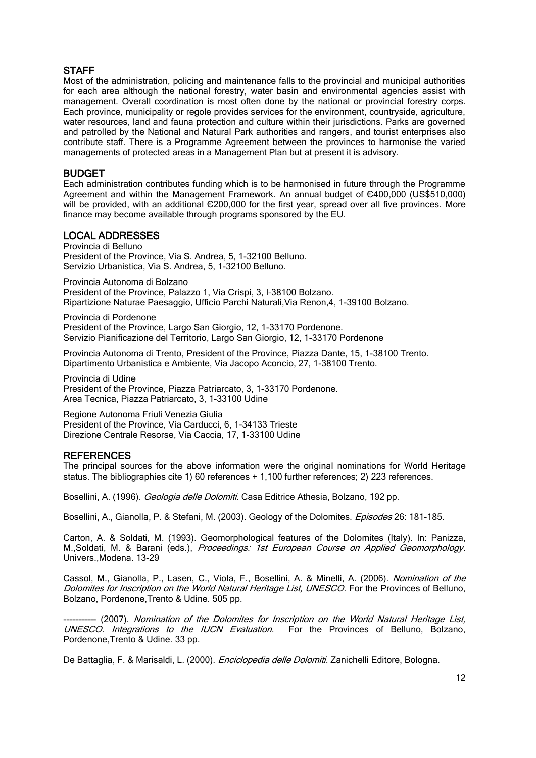# **STAFF**

Most of the administration, policing and maintenance falls to the provincial and municipal authorities for each area although the national forestry, water basin and environmental agencies assist with management. Overall coordination is most often done by the national or provincial forestry corps. Each province, municipality or regole provides services for the environment, countryside, agriculture, water resources, land and fauna protection and culture within their jurisdictions. Parks are governed and patrolled by the National and Natural Park authorities and rangers, and tourist enterprises also contribute staff. There is a Programme Agreement between the provinces to harmonise the varied managements of protected areas in a Management Plan but at present it is advisory.

## BUDGET

Each administration contributes funding which is to be harmonised in future through the Programme Agreement and within the Management Framework. An annual budget of Є400,000 (US\$510,000) will be provided, with an additional  $C200,000$  for the first year, spread over all five provinces. More finance may become available through programs sponsored by the EU.

## LOCAL ADDRESSES

Provincia di Belluno President of the Province, Via S. Andrea, 5, 1-32100 Belluno. Servizio Urbanistica, Via S. Andrea, 5, 1-32100 Belluno.

Provincia Autonoma di Bolzano

President of the Province, Palazzo 1, Via Crispi, 3, I–38100 Bolzano. Ripartizione Naturae Paesaggio, Ufficio Parchi Naturali,Via Renon,4, 1-39100 Bolzano.

Provincia di Pordenone President of the Province, Largo San Giorgio, 12, 1-33170 Pordenone. Servizio Pianificazione del Territorio, Largo San Giorgio, 12, 1-33170 Pordenone

Provincia Autonoma di Trento, President of the Province, Piazza Dante, 15, 1-38100 Trento. Dipartimento Urbanistica e Ambiente, Via Jacopo Aconcio, 27, 1-38100 Trento.

Provincia di Udine President of the Province, Piazza Patriarcato, 3, 1-33170 Pordenone. Area Tecnica, Piazza Patriarcato, 3, 1-33100 Udine

Regione Autonoma Friuli Venezia Giulia President of the Province, Via Carducci, 6, 1-34133 Trieste Direzione Centrale Resorse, Via Caccia, 17, 1-33100 Udine

### **REFERENCES**

The principal sources for the above information were the original nominations for World Heritage status. The bibliographies cite 1) 60 references + 1,100 further references; 2) 223 references.

Bosellini, A. (1996). Geologia delle Dolomiti. Casa Editrice Athesia, Bolzano, 192 pp.

Bosellini, A., Gianolla, P. & Stefani, M. (2003). Geology of the Dolomites. Episodes 26: 181-185.

Carton, A. & Soldati, M. (1993). Geomorphological features of the Dolomites (Italy). In: Panizza, M.,Soldati, M. & Barani (eds.), Proceedings: 1st European Course on Applied Geomorphology. Univers.,Modena. 13-29

Cassol, M., Gianolla, P., Lasen, C., Viola, F., Bosellini, A. & Minelli, A. (2006). Nomination of the Dolomites for Inscription on the World Natural Heritage List, UNESCO. For the Provinces of Belluno, Bolzano, Pordenone,Trento & Udine. 505 pp.

- (2007). Nomination of the Dolomites for Inscription on the World Natural Heritage List, UNESCO. Integrations to the IUCN Evaluation. For the Provinces of Belluno, Bolzano, Pordenone,Trento & Udine. 33 pp.

De Battaglia, F. & Marisaldi, L. (2000). *Enciclopedia delle Dolomiti.* Zanichelli Editore, Bologna.